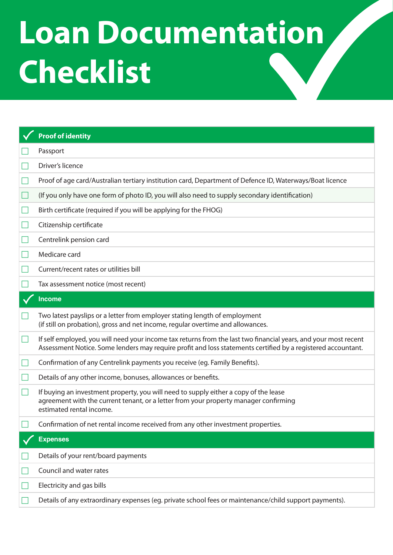## **Loan Documentation Checklist**

|     | <b>Proof of identity</b>                                                                                                                                                                                                        |
|-----|---------------------------------------------------------------------------------------------------------------------------------------------------------------------------------------------------------------------------------|
|     | Passport                                                                                                                                                                                                                        |
|     | Driver's licence                                                                                                                                                                                                                |
|     | Proof of age card/Australian tertiary institution card, Department of Defence ID, Waterways/Boat licence                                                                                                                        |
|     | (If you only have one form of photo ID, you will also need to supply secondary identification)                                                                                                                                  |
|     | Birth certificate (required if you will be applying for the FHOG)                                                                                                                                                               |
|     | Citizenship certificate                                                                                                                                                                                                         |
|     | Centrelink pension card                                                                                                                                                                                                         |
|     | Medicare card                                                                                                                                                                                                                   |
|     | Current/recent rates or utilities bill                                                                                                                                                                                          |
|     | Tax assessment notice (most recent)                                                                                                                                                                                             |
|     | <b>Income</b>                                                                                                                                                                                                                   |
|     | Two latest payslips or a letter from employer stating length of employment<br>(if still on probation), gross and net income, regular overtime and allowances.                                                                   |
| - 1 | If self employed, you will need your income tax returns from the last two financial years, and your most recent<br>Assessment Notice. Some lenders may require profit and loss statements certified by a registered accountant. |
|     | Confirmation of any Centrelink payments you receive (eg. Family Benefits).                                                                                                                                                      |
|     | Details of any other income, bonuses, allowances or benefits.                                                                                                                                                                   |
|     | If buying an investment property, you will need to supply either a copy of the lease<br>agreement with the current tenant, or a letter from your property manager confirming<br>estimated rental income.                        |
|     | Confirmation of net rental income received from any other investment properties.                                                                                                                                                |
|     | <b>Expenses</b>                                                                                                                                                                                                                 |
|     | Details of your rent/board payments                                                                                                                                                                                             |
|     | Council and water rates                                                                                                                                                                                                         |
|     | Electricity and gas bills                                                                                                                                                                                                       |
|     | Details of any extraordinary expenses (eg. private school fees or maintenance/child support payments).                                                                                                                          |